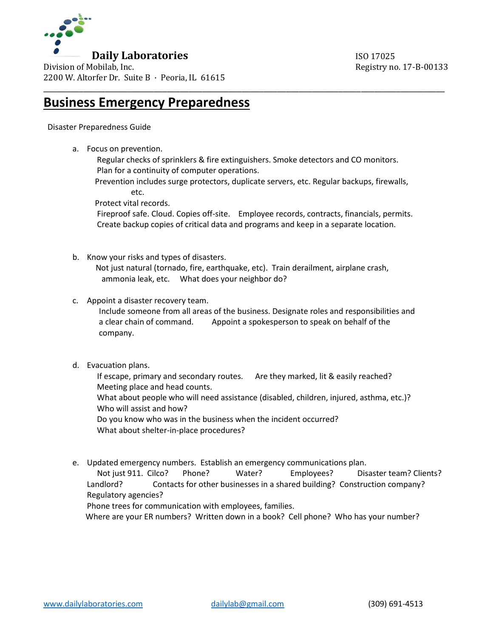

Division of Mobilab, Inc. The Contract of Mobilab, Inc. 20133 2200 W. Altorfer Dr. Suite B · Peoria, IL 61615

## **Business Emergency Preparedness**

## Disaster Preparedness Guide

a. Focus on prevention.

 Regular checks of sprinklers & fire extinguishers. Smoke detectors and CO monitors. Plan for a continuity of computer operations.

\_\_\_\_\_\_\_\_\_\_\_\_\_\_\_\_\_\_\_\_\_\_\_\_\_\_\_\_\_\_\_\_\_\_\_\_\_\_\_\_\_\_\_\_\_\_\_\_\_\_\_\_\_\_\_\_\_\_\_\_\_\_\_\_\_\_\_\_\_\_\_\_\_\_\_\_\_\_\_\_\_\_\_\_\_\_\_\_\_\_\_

 Prevention includes surge protectors, duplicate servers, etc. Regular backups, firewalls, etc.

Protect vital records.

 Fireproof safe. Cloud. Copies off-site. Employee records, contracts, financials, permits. Create backup copies of critical data and programs and keep in a separate location.

b. Know your risks and types of disasters.

 Not just natural (tornado, fire, earthquake, etc). Train derailment, airplane crash, ammonia leak, etc. What does your neighbor do?

c. Appoint a disaster recovery team.

 Include someone from all areas of the business. Designate roles and responsibilities and a clear chain of command. Appoint a spokesperson to speak on behalf of the company.

d. Evacuation plans.

 If escape, primary and secondary routes. Are they marked, lit & easily reached? Meeting place and head counts. What about people who will need assistance (disabled, children, injured, asthma, etc.)?

Who will assist and how?

 Do you know who was in the business when the incident occurred? What about shelter-in-place procedures?

e. Updated emergency numbers. Establish an emergency communications plan.

 Not just 911. Cilco? Phone? Water? Employees? Disaster team? Clients? Landlord? Contacts for other businesses in a shared building? Construction company? Regulatory agencies?

Phone trees for communication with employees, families.

Where are your ER numbers? Written down in a book? Cell phone? Who has your number?